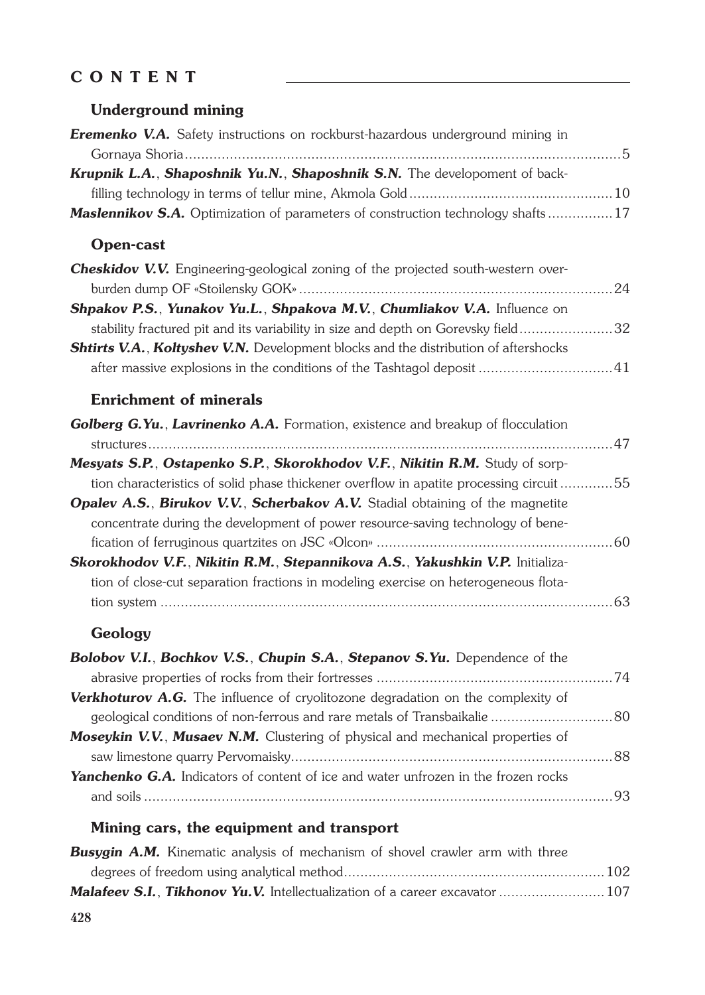# **CONTENT**

#### **Underground mining**

| <b>Eremenko V.A.</b> Safety instructions on rockburst-hazardous underground mining in  |  |
|----------------------------------------------------------------------------------------|--|
|                                                                                        |  |
| Krupnik L.A., Shaposhnik Yu.N., Shaposhnik S.N. The developoment of back-              |  |
|                                                                                        |  |
| <b>Maslennikov S.A.</b> Optimization of parameters of construction technology shafts17 |  |

## **Open-cast**

| Cheskidov V.V. Engineering-geological zoning of the projected south-western over-          |  |
|--------------------------------------------------------------------------------------------|--|
|                                                                                            |  |
| Shpakov P.S., Yunakov Yu.L., Shpakova M.V., Chumliakov V.A. Influence on                   |  |
| stability fractured pit and its variability in size and depth on Gorevsky field32          |  |
| <b>Shtirts V.A., Koltyshev V.N.</b> Development blocks and the distribution of aftershocks |  |
|                                                                                            |  |

## **Enrichment of minerals**

| Golberg G.Yu., Lavrinenko A.A. Formation, existence and breakup of flocculation        |  |
|----------------------------------------------------------------------------------------|--|
|                                                                                        |  |
| Mesyats S.P., Ostapenko S.P., Skorokhodov V.F., Nikitin R.M. Study of sorp-            |  |
| tion characteristics of solid phase thickener overflow in apatite processing circuit55 |  |
| <b>Opalev A.S., Birukov V.V., Scherbakov A.V.</b> Stadial obtaining of the magnetite   |  |
| concentrate during the development of power resource-saving technology of bene-        |  |
|                                                                                        |  |
| Skorokhodov V.F., Nikitin R.M., Stepannikova A.S., Yakushkin V.P. Initializa-          |  |
| tion of close-cut separation fractions in modeling exercise on heterogeneous flota-    |  |
|                                                                                        |  |
|                                                                                        |  |

### **Geology**

| Bolobov V.I., Bochkov V.S., Chupin S.A., Stepanov S.Yu. Dependence of the                 |  |
|-------------------------------------------------------------------------------------------|--|
|                                                                                           |  |
| <b>Verkhoturov A.G.</b> The influence of cryolitozone degradation on the complexity of    |  |
|                                                                                           |  |
| <b>Moseykin V.V., Musaev N.M.</b> Clustering of physical and mechanical properties of     |  |
|                                                                                           |  |
| <b>Yanchenko G.A.</b> Indicators of content of ice and water unfrozen in the frozen rocks |  |
|                                                                                           |  |

### **Mining cars, the equipment and transport**

| <b>Busygin A.M.</b> Kinematic analysis of mechanism of shovel crawler arm with three |  |
|--------------------------------------------------------------------------------------|--|
|                                                                                      |  |
| <b>Malafeev S.I., Tikhonov Yu.V.</b> Intellectualization of a career excavator  107  |  |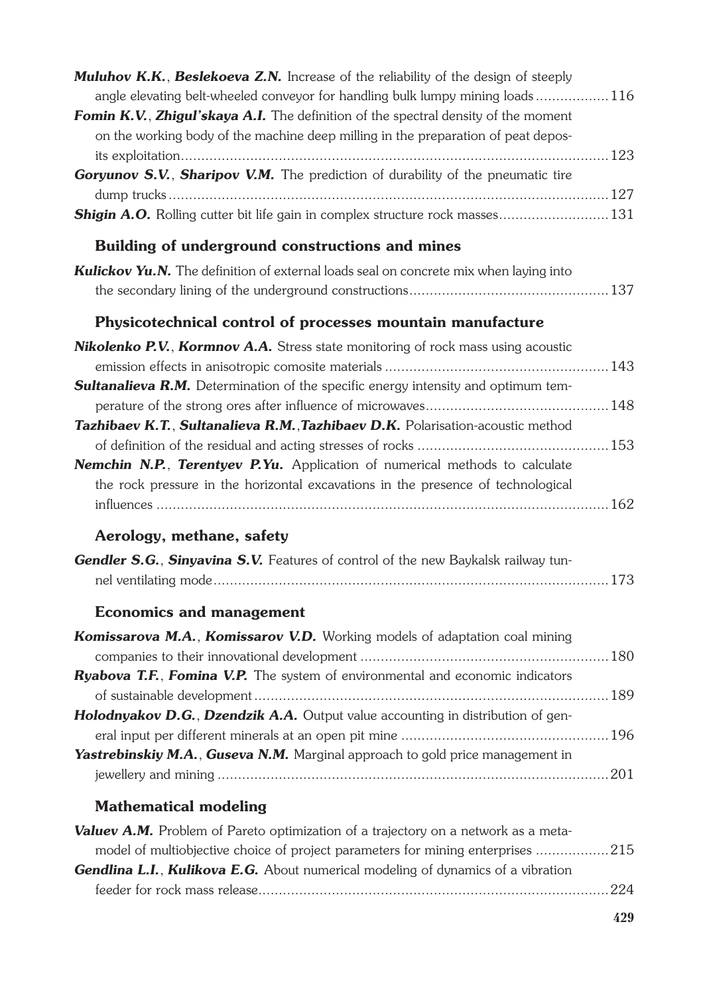| <b>Muluhov K.K., Beslekoeva Z.N.</b> Increase of the reliability of the design of steeply<br>angle elevating belt-wheeled conveyor for handling bulk lumpy mining loads116 |  |
|----------------------------------------------------------------------------------------------------------------------------------------------------------------------------|--|
| Fomin K.V., Zhigul'skaya A.I. The definition of the spectral density of the moment<br>on the working body of the machine deep milling in the preparation of peat depos-    |  |
| Goryunov S.V., Sharipov V.M. The prediction of durability of the pneumatic tire                                                                                            |  |
|                                                                                                                                                                            |  |
| <b>Shigin A.O.</b> Rolling cutter bit life gain in complex structure rock masses 131                                                                                       |  |
| Building of underground constructions and mines                                                                                                                            |  |
| <b>Kulickov Yu.N.</b> The definition of external loads seal on concrete mix when laying into                                                                               |  |
|                                                                                                                                                                            |  |
| Physicotechnical control of processes mountain manufacture                                                                                                                 |  |
| Nikolenko P.V., Kormnov A.A. Stress state monitoring of rock mass using acoustic                                                                                           |  |
|                                                                                                                                                                            |  |
| <b>Sultanalieva R.M.</b> Determination of the specific energy intensity and optimum tem-                                                                                   |  |
|                                                                                                                                                                            |  |
| Tazhibaev K.T., Sultanalieva R.M., Tazhibaev D.K. Polarisation-acoustic method                                                                                             |  |
| <b>Nemchin N.P., Terentyev P.Yu.</b> Application of numerical methods to calculate                                                                                         |  |
| the rock pressure in the horizontal excavations in the presence of technological                                                                                           |  |
|                                                                                                                                                                            |  |
| Aerology, methane, safety                                                                                                                                                  |  |
| <b>Gendler S.G., Sinyavina S.V.</b> Features of control of the new Baykalsk railway tun-                                                                                   |  |
|                                                                                                                                                                            |  |
| <b>Economics and management</b>                                                                                                                                            |  |
| <b>Komissarova M.A., Komissarov V.D.</b> Working models of adaptation coal mining                                                                                          |  |
|                                                                                                                                                                            |  |
| Ryabova T.F., Fomina V.P. The system of environmental and economic indicators                                                                                              |  |
| Holodnyakov D.G., Dzendzik A.A. Output value accounting in distribution of gen-                                                                                            |  |
|                                                                                                                                                                            |  |
| Yastrebinskiy M.A., Guseva N.M. Marginal approach to gold price management in                                                                                              |  |
|                                                                                                                                                                            |  |
| <b>Mathematical modeling</b>                                                                                                                                               |  |
| Valuev A.M. Problem of Pareto optimization of a trajectory on a network as a meta-                                                                                         |  |
| model of multiobjective choice of project parameters for mining enterprises 215                                                                                            |  |
| <b>Gendlina L.I., Kulikova E.G.</b> About numerical modeling of dynamics of a vibration                                                                                    |  |
|                                                                                                                                                                            |  |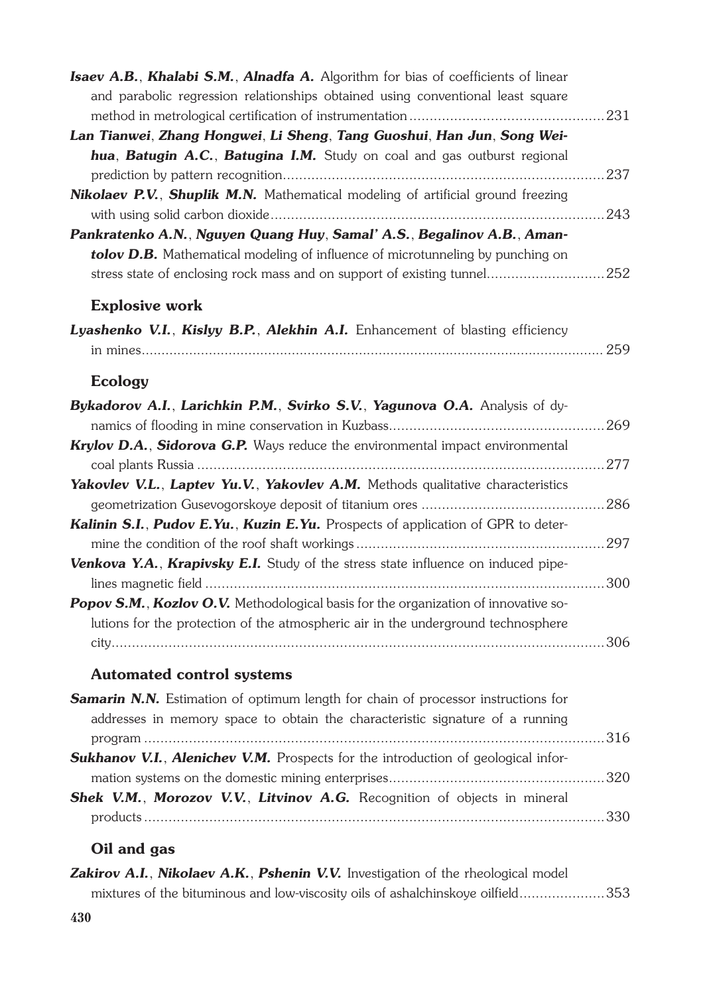| Isaev A.B., Khalabi S.M., Alnadfa A. Algorithm for bias of coefficients of linear        |     |
|------------------------------------------------------------------------------------------|-----|
| and parabolic regression relationships obtained using conventional least square          |     |
|                                                                                          |     |
| Lan Tianwei, Zhang Hongwei, Li Sheng, Tang Guoshui, Han Jun, Song Wei-                   |     |
| hua, Batugin A.C., Batugina I.M. Study on coal and gas outburst regional                 |     |
|                                                                                          |     |
| Nikolaev P.V., Shuplik M.N. Mathematical modeling of artificial ground freezing          |     |
|                                                                                          |     |
| Pankratenko A.N., Nguyen Quang Huy, Samal' A.S., Begalinov A.B., Aman-                   |     |
| tolov D.B. Mathematical modeling of influence of microtunneling by punching on           |     |
| stress state of enclosing rock mass and on support of existing tunnel252                 |     |
| <b>Explosive work</b>                                                                    |     |
| Lyashenko V.I., Kislyy B.P., Alekhin A.I. Enhancement of blasting efficiency             |     |
|                                                                                          |     |
|                                                                                          |     |
| Ecology                                                                                  |     |
| Bykadorov A.I., Larichkin P.M., Svirko S.V., Yagunova O.A. Analysis of dy-               |     |
|                                                                                          |     |
| Krylov D.A., Sidorova G.P. Ways reduce the environmental impact environmental            |     |
|                                                                                          |     |
| <b>Yakovlev V.L., Laptev Yu.V., Yakovlev A.M.</b> Methods qualitative characteristics    |     |
|                                                                                          |     |
| Kalinin S.I., Pudov E.Yu., Kuzin E.Yu. Prospects of application of GPR to deter-         |     |
|                                                                                          |     |
| Venkova Y.A., Krapivsky E.I. Study of the stress state influence on induced pipe-        |     |
|                                                                                          |     |
| Popov S.M., Kozlov O.V. Methodological basis for the organization of innovative so-      |     |
| lutions for the protection of the atmospheric air in the underground technosphere        |     |
|                                                                                          |     |
| <b>Automated control systems</b>                                                         |     |
| <b>Samarin N.N.</b> Estimation of optimum length for chain of processor instructions for |     |
| addresses in memory space to obtain the characteristic signature of a running            |     |
|                                                                                          |     |
| <b>Sukhanov V.I., Alenichev V.M.</b> Prospects for the introduction of geological infor- |     |
|                                                                                          |     |
| <b>Shek V.M., Morozov V.V., Litvinov A.G.</b> Recognition of objects in mineral          |     |
|                                                                                          | 330 |

### **Oil and gas**

| <b>Zakirov A.I., Nikolaev A.K., Pshenin V.V.</b> Investigation of the rheological model |                                                                                 |
|-----------------------------------------------------------------------------------------|---------------------------------------------------------------------------------|
|                                                                                         | mixtures of the bituminous and low-viscosity oils of ashalchinskoye oilfield353 |